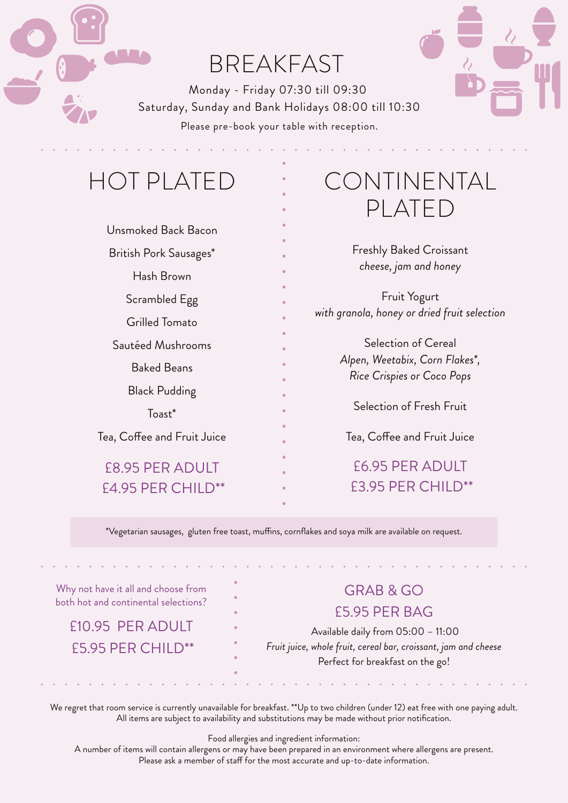

## BREAKFAST

Monday - Friday 07:30 till 09:30 Saturday, Sunday and Bank Holidays 08:00 till 10:30 Please pre-book your table with reception.

## HOT PLATED

| Unsmoked Back Bacon         |
|-----------------------------|
| British Pork Sausages*      |
| Hash Brown                  |
| Scrambled Egg               |
| Grilled Tomato              |
| Sautéed Mushrooms           |
| <b>Baked Beans</b>          |
| Black Pudding               |
| $Toast*$                    |
| Tea, Coffee and Fruit Juice |
| <b>F8.95 PFR ADULT</b>      |
| <b>F4.95 PFR CHILD**</b>    |

## CONTINENTAL PLATED

Freshly Baked Croissant *cheese, jam and honey* 

Fruit Yogurt *with granola, honey or dried fruit selection*

> Selection of Cereal *Alpen, Weetabix, Corn Flakes\*, Rice Crispies or Coco Pops*

> > Selection of Fresh Fruit

Tea, Coffee and Fruit Juice

£6.95 PER ADULT £3.95 PER CHILD\*\*

\*Vegetarian sausages, gluten free toast, muffins, cornflakes and soya milk are available on request.

Why not have it all and choose from both hot and continental selections?

£10.95 PER ADULT £5.95 PER CHILD\*\*

## GRAB & GO £5.95 PER BAG

 Available daily from 05:00 – 11:00 *Fruit juice, whole fruit, cereal bar, croissant, jam and cheese* Perfect for breakfast on the go!

We regret that room service is currently unavailable for breakfast. \*\*Up to two children (under 12) eat free with one paying adult. All items are subject to availability and substitutions may be made without prior notification.

Food allergies and ingredient information:

A number of items will contain allergens or may have been prepared in an environment where allergens are present. Please ask a member of staff for the most accurate and up-to-date information.